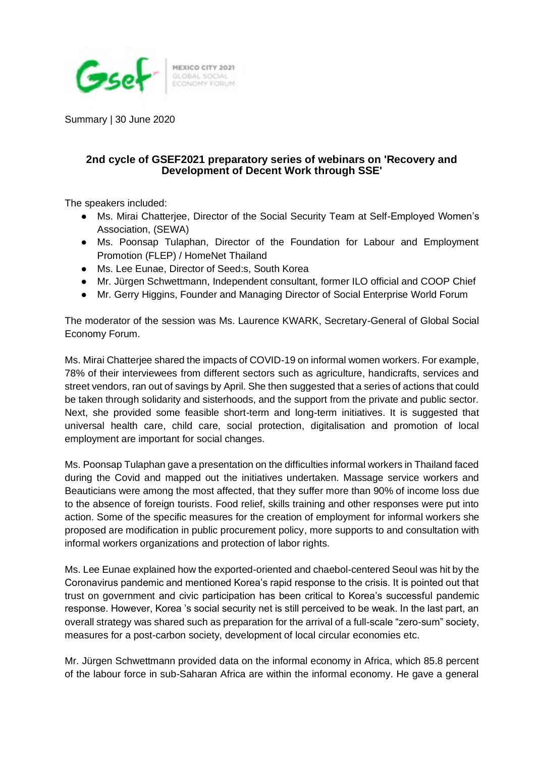

Summary | 30 June 2020

## **2nd cycle of GSEF2021 preparatory series of webinars on 'Recovery and Development of Decent Work through SSE'**

The speakers included:

- Ms. Mirai Chatterjee, Director of the Social Security Team at Self-Employed Women's Association, (SEWA)
- Ms. Poonsap Tulaphan, Director of the Foundation for Labour and Employment Promotion (FLEP) / HomeNet Thailand
- Ms. Lee Eunae, Director of Seed:s, South Korea
- Mr. Jürgen Schwettmann, Independent consultant, former ILO official and COOP Chief
- Mr. Gerry Higgins, Founder and Managing Director of Social Enterprise World Forum

The moderator of the session was Ms. Laurence KWARK, Secretary-General of Global Social Economy Forum.

Ms. Mirai Chatterjee shared the impacts of COVID-19 on informal women workers. For example, 78% of their interviewees from different sectors such as agriculture, handicrafts, services and street vendors, ran out of savings by April. She then suggested that a series of actions that could be taken through solidarity and sisterhoods, and the support from the private and public sector. Next, she provided some feasible short-term and long-term initiatives. It is suggested that universal health care, child care, social protection, digitalisation and promotion of local employment are important for social changes.

Ms. Poonsap Tulaphan gave a presentation on the difficulties informal workers in Thailand faced during the Covid and mapped out the initiatives undertaken. Massage service workers and Beauticians were among the most affected, that they suffer more than 90% of income loss due to the absence of foreign tourists. Food relief, skills training and other responses were put into action. Some of the specific measures for the creation of employment for informal workers she proposed are modification in public procurement policy, more supports to and consultation with informal workers organizations and protection of labor rights.

Ms. Lee Eunae explained how the exported-oriented and chaebol-centered Seoul was hit by the Coronavirus pandemic and mentioned Korea's rapid response to the crisis. It is pointed out that trust on government and civic participation has been critical to Korea's successful pandemic response. However, Korea 's social security net is still perceived to be weak. In the last part, an overall strategy was shared such as preparation for the arrival of a full-scale "zero-sum" society, measures for a post-carbon society, development of local circular economies etc.

Mr. Jürgen Schwettmann provided data on the informal economy in Africa, which 85.8 percent of the labour force in sub-Saharan Africa are within the informal economy. He gave a general